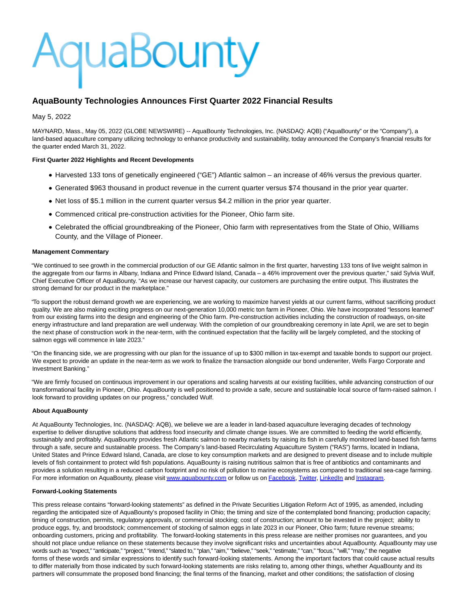# AquaBounty

# **AquaBounty Technologies Announces First Quarter 2022 Financial Results**

# May 5, 2022

MAYNARD, Mass., May 05, 2022 (GLOBE NEWSWIRE) -- AquaBounty Technologies, Inc. (NASDAQ: AQB) ("AquaBounty" or the "Company"), a land-based aquaculture company utilizing technology to enhance productivity and sustainability, today announced the Company's financial results for the quarter ended March 31, 2022.

## **First Quarter 2022 Highlights and Recent Developments**

- Harvested 133 tons of genetically engineered ("GE") Atlantic salmon an increase of 46% versus the previous quarter.
- Generated \$963 thousand in product revenue in the current quarter versus \$74 thousand in the prior year quarter.
- Net loss of \$5.1 million in the current quarter versus \$4.2 million in the prior year quarter.
- Commenced critical pre-construction activities for the Pioneer, Ohio farm site.
- Celebrated the official groundbreaking of the Pioneer, Ohio farm with representatives from the State of Ohio, Williams County, and the Village of Pioneer.

#### **Management Commentary**

"We continued to see growth in the commercial production of our GE Atlantic salmon in the first quarter, harvesting 133 tons of live weight salmon in the aggregate from our farms in Albany, Indiana and Prince Edward Island, Canada – a 46% improvement over the previous quarter," said Sylvia Wulf, Chief Executive Officer of AquaBounty. "As we increase our harvest capacity, our customers are purchasing the entire output. This illustrates the strong demand for our product in the marketplace."

"To support the robust demand growth we are experiencing, we are working to maximize harvest yields at our current farms, without sacrificing product quality. We are also making exciting progress on our next-generation 10,000 metric ton farm in Pioneer, Ohio. We have incorporated "lessons learned" from our existing farms into the design and engineering of the Ohio farm. Pre-construction activities including the construction of roadways, on-site energy infrastructure and land preparation are well underway. With the completion of our groundbreaking ceremony in late April, we are set to begin the next phase of construction work in the near-term, with the continued expectation that the facility will be largely completed, and the stocking of salmon eggs will commence in late 2023."

"On the financing side, we are progressing with our plan for the issuance of up to \$300 million in tax-exempt and taxable bonds to support our project. We expect to provide an update in the near-term as we work to finalize the transaction alongside our bond underwriter, Wells Fargo Corporate and Investment Banking."

"We are firmly focused on continuous improvement in our operations and scaling harvests at our existing facilities, while advancing construction of our transformational facility in Pioneer, Ohio. AquaBounty is well positioned to provide a safe, secure and sustainable local source of farm-raised salmon. I look forward to providing updates on our progress," concluded Wulf.

#### **About AquaBounty**

At AquaBounty Technologies, Inc. (NASDAQ: AQB), we believe we are a leader in land-based aquaculture leveraging decades of technology expertise to deliver disruptive solutions that address food insecurity and climate change issues. We are committed to feeding the world efficiently, sustainably and profitably. AquaBounty provides fresh Atlantic salmon to nearby markets by raising its fish in carefully monitored land-based fish farms through a safe, secure and sustainable process. The Company's land-based Recirculating Aquaculture System ("RAS") farms, located in Indiana, United States and Prince Edward Island, Canada, are close to key consumption markets and are designed to prevent disease and to include multiple levels of fish containment to protect wild fish populations. AquaBounty is raising nutritious salmon that is free of antibiotics and contaminants and provides a solution resulting in a reduced carbon footprint and no risk of pollution to marine ecosystems as compared to traditional sea-cage farming. For more information on AquaBounty, please visi[t www.aquabounty.com o](https://www.globenewswire.com/Tracker?data=SlmEJS1yG3yxGmPrYD55K9HahILZW3DZ2HTDrnckb_wGwNZ9pVrtghY0EHxWenzfqb1uD_BOEsDQgVwfjXoiA3D8PvU4BERZvB_-OmrQUJc=)r follow us on [Facebook,](https://www.globenewswire.com/Tracker?data=zw4sSmL0CHYXlWwzbGRxWL6MFjR4TXq_bs6aSMhQii7YCbjX1yTAb56PeIBl3q_KEsxuZERuIrkrRZ4JRIFz95LF8Jrt9qbvui9UUQoacP0=) [Twitter,](https://www.globenewswire.com/Tracker?data=YAyU1mT3Z0z8DZUH-uGpcyIdi24OLJiQmUSAfGdy1kjYrzf_42ZlWsg2YA4ydMHgQ38yJTjrmXfqeERvscIhoA==) [LinkedIn a](https://www.globenewswire.com/Tracker?data=O026ZCkLKS2w1c-7f4C9yzndWcjIM2CODj4aGSVIvGZKTszdv7beF-6kVLpAMjdBA9xUDayCGmO9Hw1k9HR3eIaPBMADQ0cKUXgaWZs0oBk=)n[d Instagram.](https://www.globenewswire.com/Tracker?data=ogp6KfrrI99xJY41JOdNm7ga7sRcInfihqJCQn9qZFmAK4A3l9jh-8K_ekpdYGgBBBOStbBq_n9k4qhSH5aaaguSjmQL7ldWJFpuT2syy-U=)

#### **Forward-Looking Statements**

This press release contains "forward-looking statements" as defined in the Private Securities Litigation Reform Act of 1995, as amended, including regarding the anticipated size of AquaBounty's proposed facility in Ohio; the timing and size of the contemplated bond financing; production capacity; timing of construction, permits, regulatory approvals, or commercial stocking; cost of construction; amount to be invested in the project; ability to produce eggs, fry, and broodstock; commencement of stocking of salmon eggs in late 2023 in our Pioneer, Ohio farm; future revenue streams; onboarding customers, pricing and profitability. The forward-looking statements in this press release are neither promises nor guarantees, and you should not place undue reliance on these statements because they involve significant risks and uncertainties about AquaBounty. AquaBounty may use words such as "expect," "anticipate," "project," "intend," "slated to," "plan," "aim," "believe," "seek," "estimate," "can," "focus," "will," "may," the negative forms of these words and similar expressions to identify such forward-looking statements. Among the important factors that could cause actual results to differ materially from those indicated by such forward-looking statements are risks relating to, among other things, whether AquaBounty and its partners will consummate the proposed bond financing; the final terms of the financing, market and other conditions; the satisfaction of closing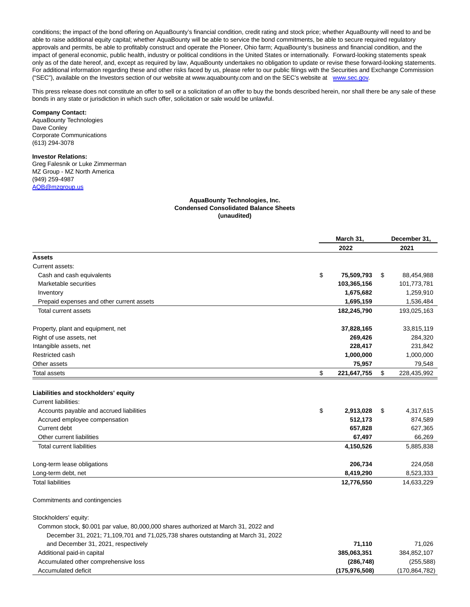conditions; the impact of the bond offering on AquaBounty's financial condition, credit rating and stock price; whether AquaBounty will need to and be able to raise additional equity capital; whether AquaBounty will be able to service the bond commitments, be able to secure required regulatory approvals and permits, be able to profitably construct and operate the Pioneer, Ohio farm; AquaBounty's business and financial condition, and the impact of general economic, public health, industry or political conditions in the United States or internationally. Forward-looking statements speak only as of the date hereof, and, except as required by law, AquaBounty undertakes no obligation to update or revise these forward-looking statements. For additional information regarding these and other risks faced by us, please refer to our public filings with the Securities and Exchange Commission ("SEC"), available on the Investors section of our website at www.aquabounty.com and on the SEC's website at [www.sec.gov.](https://www.globenewswire.com/Tracker?data=PbX1vSIx64pPvxwn2iV7ZMJwNECOXmdrBxX037Wk_AIMsdAjCYmGiH7sG3xk-jsFskNj4s_Co3Jd1tDdLcY5kNKCxJ9W05HfTHyDW4Xc4RorZ7WdtY9iAQmNtfT3nBd03S410_RySSjWOF5OoFOqA1ylEJbHAUk6yeV7L5TQrG0rmEo07PBQQqrm0W3ooh_CL8Yjf9mFLI31Dfn4p8LQuDXPXBaIQ5OAsDflIJpDbqk=)

This press release does not constitute an offer to sell or a solicitation of an offer to buy the bonds described herein, nor shall there be any sale of these bonds in any state or jurisdiction in which such offer, solicitation or sale would be unlawful.

#### **Company Contact:**

AquaBounty Technologies Dave Conley Corporate Communications (613) 294-3078

### **Investor Relations:**

Greg Falesnik or Luke Zimmerman MZ Group - MZ North America (949) 259-4987 [AQB@mzgroup.us](https://www.globenewswire.com/Tracker?data=XkoIPzbTnAW5bcVk3c6u_5UgpfsTOfrgx9Zcm3yZVUCY_pq1P7CwdURhBDuMM2zS3ONC5GbFunOmu6azHpqnckt4yAeLpOwvbhgcYajxi3-6bPq4TDDIu8-wA8elS-K_yAk-K1SdCjwPcI2n418iv2uI7XSIBt3gko9MPe91oMPxIOUQ_Ph1dp3OLnZFIp_lVnmoJ6GII4QqPXTwTS0GODZuwOMEAPypzRcwoMRzoU4=)

#### **AquaBounty Technologies, Inc. Condensed Consolidated Balance Sheets (unaudited)**

|                                                                                     | March 31,         |    | December 31,    |  |
|-------------------------------------------------------------------------------------|-------------------|----|-----------------|--|
|                                                                                     | 2022              |    | 2021            |  |
| <b>Assets</b>                                                                       |                   |    |                 |  |
| Current assets:                                                                     |                   |    |                 |  |
| Cash and cash equivalents                                                           | \$<br>75,509,793  | \$ | 88,454,988      |  |
| Marketable securities                                                               | 103,365,156       |    | 101,773,781     |  |
| Inventory                                                                           | 1,675,682         |    | 1,259,910       |  |
| Prepaid expenses and other current assets                                           | 1,695,159         |    | 1,536,484       |  |
| <b>Total current assets</b>                                                         | 182,245,790       |    | 193,025,163     |  |
| Property, plant and equipment, net                                                  | 37,828,165        |    | 33,815,119      |  |
| Right of use assets, net                                                            | 269,426           |    | 284,320         |  |
| Intangible assets, net                                                              | 228,417           |    | 231,842         |  |
| Restricted cash                                                                     | 1,000,000         |    | 1,000,000       |  |
| Other assets                                                                        | 75,957            |    | 79,548          |  |
| Total assets                                                                        | \$<br>221,647,755 | \$ | 228,435,992     |  |
|                                                                                     |                   |    |                 |  |
| Liabilities and stockholders' equity                                                |                   |    |                 |  |
| Current liabilities:                                                                |                   |    |                 |  |
| Accounts payable and accrued liabilities                                            | \$<br>2,913,028   | \$ | 4,317,615       |  |
| Accrued employee compensation                                                       | 512,173           |    | 874,589         |  |
| Current debt                                                                        | 657,828           |    | 627,365         |  |
| Other current liabilities                                                           | 67,497            |    | 66,269          |  |
| <b>Total current liabilities</b>                                                    | 4,150,526         |    | 5,885,838       |  |
| Long-term lease obligations                                                         | 206,734           |    | 224,058         |  |
| Long-term debt, net                                                                 | 8,419,290         |    | 8,523,333       |  |
| <b>Total liabilities</b>                                                            | 12,776,550        |    | 14,633,229      |  |
| Commitments and contingencies                                                       |                   |    |                 |  |
| Stockholders' equity:                                                               |                   |    |                 |  |
| Common stock, \$0.001 par value, 80,000,000 shares authorized at March 31, 2022 and |                   |    |                 |  |
| December 31, 2021; 71,109,701 and 71,025,738 shares outstanding at March 31, 2022   |                   |    |                 |  |
| and December 31, 2021, respectively                                                 | 71,110            |    | 71,026          |  |
| Additional paid-in capital                                                          | 385,063,351       |    | 384,852,107     |  |
| Accumulated other comprehensive loss                                                | (286, 748)        |    | (255, 588)      |  |
| Accumulated deficit                                                                 | (175, 976, 508)   |    | (170, 864, 782) |  |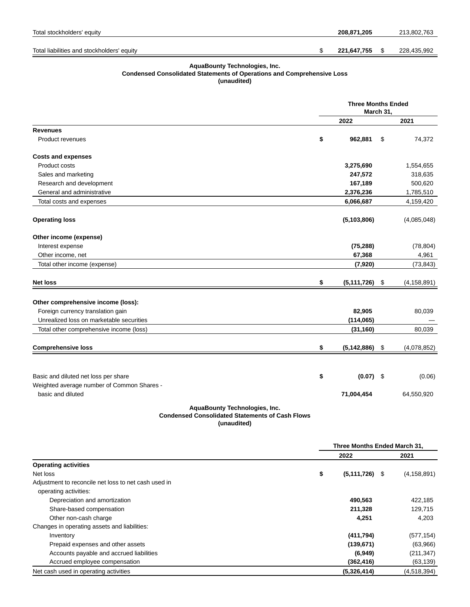| Total stockholders' equity                 | 208.871.205 |  | 213.802.763 |
|--------------------------------------------|-------------|--|-------------|
|                                            |             |  |             |
| Total liabilities and stockholders' equity | 221,647,755 |  | 228,435,992 |

#### **AquaBounty Technologies, Inc.**

**Condensed Consolidated Statements of Operations and Comprehensive Loss**

**(unaudited)**

|                                                                                         | <b>Three Months Ended</b><br>March 31, |               |    |               |
|-----------------------------------------------------------------------------------------|----------------------------------------|---------------|----|---------------|
|                                                                                         |                                        | 2022          |    | 2021          |
| <b>Revenues</b>                                                                         |                                        |               |    |               |
| Product revenues                                                                        | \$                                     | 962,881       | \$ | 74,372        |
| <b>Costs and expenses</b>                                                               |                                        |               |    |               |
| Product costs                                                                           |                                        | 3,275,690     |    | 1,554,655     |
| Sales and marketing                                                                     |                                        | 247,572       |    | 318,635       |
| Research and development                                                                |                                        | 167,189       |    | 500,620       |
| General and administrative                                                              |                                        | 2,376,236     |    | 1,785,510     |
| Total costs and expenses                                                                |                                        | 6,066,687     |    | 4,159,420     |
| <b>Operating loss</b>                                                                   |                                        | (5, 103, 806) |    | (4,085,048)   |
| Other income (expense)                                                                  |                                        |               |    |               |
| Interest expense                                                                        |                                        | (75, 288)     |    | (78, 804)     |
| Other income, net                                                                       |                                        | 67,368        |    | 4,961         |
| Total other income (expense)                                                            |                                        | (7,920)       |    | (73, 843)     |
| <b>Net loss</b>                                                                         | \$                                     | (5, 111, 726) | \$ | (4, 158, 891) |
| Other comprehensive income (loss):                                                      |                                        |               |    |               |
| Foreign currency translation gain                                                       |                                        | 82,905        |    | 80,039        |
| Unrealized loss on marketable securities                                                |                                        | (114, 065)    |    |               |
| Total other comprehensive income (loss)                                                 |                                        | (31, 160)     |    | 80,039        |
| <b>Comprehensive loss</b>                                                               | \$                                     | (5, 142, 886) | \$ | (4,078,852)   |
|                                                                                         |                                        |               |    |               |
| Basic and diluted net loss per share                                                    | \$                                     | $(0.07)$ \$   |    | (0.06)        |
| Weighted average number of Common Shares -                                              |                                        |               |    |               |
| basic and diluted                                                                       |                                        | 71,004,454    |    | 64,550,920    |
| AquaBounty Technologies, Inc.<br><b>Condensed Consolidated Statements of Cash Flows</b> |                                        |               |    |               |

**(unaudited)**

|                                                      |      | Three Months Ended March 31,      |  |  |
|------------------------------------------------------|------|-----------------------------------|--|--|
|                                                      | 2022 | 2021                              |  |  |
| <b>Operating activities</b>                          |      |                                   |  |  |
| Net loss                                             | \$   | $(5,111,726)$ \$<br>(4, 158, 891) |  |  |
| Adjustment to reconcile net loss to net cash used in |      |                                   |  |  |
| operating activities:                                |      |                                   |  |  |
| Depreciation and amortization                        |      | 490,563<br>422,185                |  |  |
| Share-based compensation                             |      | 211,328<br>129,715                |  |  |
| Other non-cash charge                                |      | 4,251<br>4,203                    |  |  |
| Changes in operating assets and liabilities:         |      |                                   |  |  |
| Inventory                                            |      | (411,794)<br>(577, 154)           |  |  |
| Prepaid expenses and other assets                    |      | (139, 671)<br>(63,966)            |  |  |
| Accounts payable and accrued liabilities             |      | (211, 347)<br>(6, 949)            |  |  |
| Accrued employee compensation                        |      | (362, 416)<br>(63, 139)           |  |  |
| Net cash used in operating activities                |      | (5,326,414)<br>(4,518,394)        |  |  |